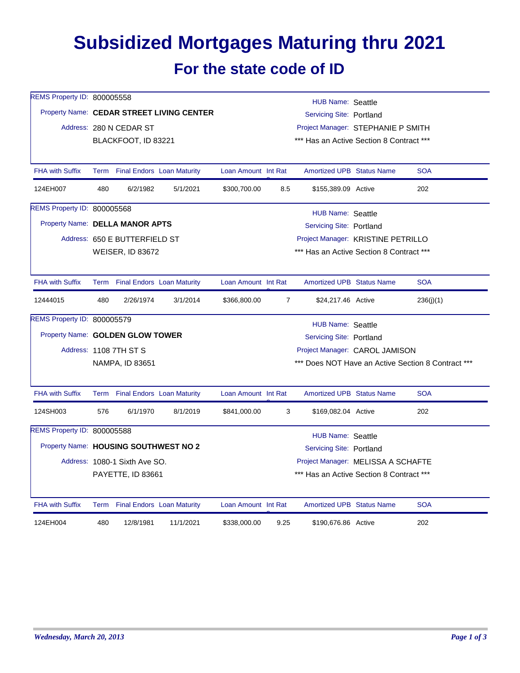## **Subsidized Mortgages Maturing thru 2021 For the state code of ID**

| REMS Property ID: 800005558           |                          |                               |                                           |                                                                       |                                               | HUB Name: Seattle                  |                                          |            |  |  |
|---------------------------------------|--------------------------|-------------------------------|-------------------------------------------|-----------------------------------------------------------------------|-----------------------------------------------|------------------------------------|------------------------------------------|------------|--|--|
|                                       |                          |                               | Property Name: CEDAR STREET LIVING CENTER | <b>Servicing Site: Portland</b><br>Project Manager: STEPHANIE P SMITH |                                               |                                    |                                          |            |  |  |
|                                       |                          | Address: 280 N CEDAR ST       |                                           |                                                                       |                                               |                                    |                                          |            |  |  |
|                                       |                          | BLACKFOOT, ID 83221           |                                           |                                                                       | *** Has an Active Section 8 Contract ***      |                                    |                                          |            |  |  |
|                                       |                          |                               |                                           |                                                                       |                                               |                                    |                                          |            |  |  |
| <b>FHA with Suffix</b>                |                          |                               | Term Final Endors Loan Maturity           | Loan Amount Int Rat                                                   |                                               | <b>Amortized UPB Status Name</b>   |                                          | <b>SOA</b> |  |  |
| 124EH007                              | 480                      | 6/2/1982                      | 5/1/2021                                  | \$300,700.00                                                          | 8.5                                           | \$155,389.09 Active                |                                          | 202        |  |  |
| REMS Property ID: 800005568           |                          |                               |                                           |                                                                       |                                               | <b>HUB Name: Seattle</b>           |                                          |            |  |  |
| Property Name: DELLA MANOR APTS       |                          |                               |                                           |                                                                       |                                               | Servicing Site: Portland           |                                          |            |  |  |
|                                       |                          | Address: 650 E BUTTERFIELD ST |                                           |                                                                       |                                               | Project Manager: KRISTINE PETRILLO |                                          |            |  |  |
|                                       |                          | <b>WEISER, ID 83672</b>       |                                           |                                                                       |                                               |                                    | *** Has an Active Section 8 Contract *** |            |  |  |
| <b>FHA with Suffix</b>                |                          |                               | Term Final Endors Loan Maturity           | Loan Amount Int Rat                                                   |                                               | <b>Amortized UPB Status Name</b>   |                                          | <b>SOA</b> |  |  |
| 12444015                              | 480                      | 2/26/1974                     | 3/1/2014                                  | \$366,800.00                                                          | 7                                             | \$24,217.46 Active                 |                                          | 236(j)(1)  |  |  |
| REMS Property ID: 800005579           | <b>HUB Name: Seattle</b> |                               |                                           |                                                                       |                                               |                                    |                                          |            |  |  |
| Property Name: GOLDEN GLOW TOWER      |                          |                               |                                           | Servicing Site: Portland                                              |                                               |                                    |                                          |            |  |  |
|                                       |                          | Address: 1108 7TH ST S        |                                           | Project Manager: CAROL JAMISON                                        |                                               |                                    |                                          |            |  |  |
|                                       |                          | NAMPA, ID 83651               |                                           | *** Does NOT Have an Active Section 8 Contract ***                    |                                               |                                    |                                          |            |  |  |
| <b>FHA with Suffix</b>                |                          |                               | Term Final Endors Loan Maturity           | Loan Amount Int Rat                                                   |                                               | <b>Amortized UPB Status Name</b>   |                                          | <b>SOA</b> |  |  |
| 124SH003                              | 576                      | 6/1/1970                      | 8/1/2019                                  | \$841,000.00                                                          | 3                                             | \$169,082.04 Active                |                                          | 202        |  |  |
| REMS Property ID: 800005588           |                          |                               |                                           |                                                                       |                                               |                                    |                                          |            |  |  |
| Property Name: HOUSING SOUTHWEST NO 2 |                          |                               |                                           |                                                                       | HUB Name: Seattle<br>Servicing Site: Portland |                                    |                                          |            |  |  |
|                                       |                          | Address: 1080-1 Sixth Ave SO. |                                           |                                                                       |                                               | Project Manager: MELISSA A SCHAFTE |                                          |            |  |  |
|                                       |                          | PAYETTE, ID 83661             |                                           | *** Has an Active Section 8 Contract ***                              |                                               |                                    |                                          |            |  |  |
| <b>FHA with Suffix</b>                |                          |                               | Term Final Endors Loan Maturity           | Loan Amount Int Rat                                                   |                                               | <b>Amortized UPB Status Name</b>   |                                          | <b>SOA</b> |  |  |
| 124EH004                              | 480                      | 12/8/1981                     | 11/1/2021                                 | \$338,000.00                                                          | 9.25                                          | \$190,676.86 Active                |                                          | 202        |  |  |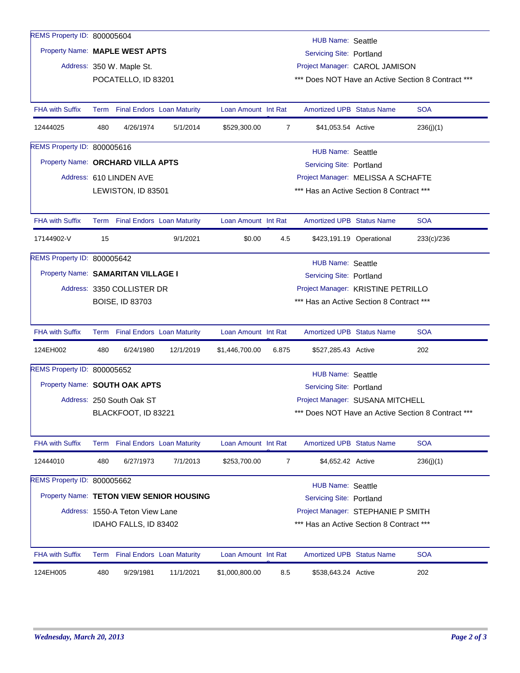| REMS Property ID: 800005604    |                                                                                                                                            |                                 |                                          |                     |                                          | HUB Name: Seattle                                  |                          |                                                    |  |
|--------------------------------|--------------------------------------------------------------------------------------------------------------------------------------------|---------------------------------|------------------------------------------|---------------------|------------------------------------------|----------------------------------------------------|--------------------------|----------------------------------------------------|--|
| Property Name: MAPLE WEST APTS |                                                                                                                                            |                                 |                                          |                     |                                          | <b>Servicing Site: Portland</b>                    |                          |                                                    |  |
|                                |                                                                                                                                            | Address: 350 W. Maple St.       |                                          |                     |                                          | Project Manager: CAROL JAMISON                     |                          |                                                    |  |
|                                |                                                                                                                                            | POCATELLO, ID 83201             |                                          |                     |                                          |                                                    |                          | *** Does NOT Have an Active Section 8 Contract *** |  |
|                                |                                                                                                                                            |                                 |                                          |                     |                                          |                                                    |                          |                                                    |  |
| <b>FHA with Suffix</b>         | Term                                                                                                                                       |                                 | <b>Final Endors Loan Maturity</b>        | Loan Amount Int Rat |                                          | <b>Amortized UPB Status Name</b>                   |                          | SOA                                                |  |
| 12444025                       | 480                                                                                                                                        | 4/26/1974                       | 5/1/2014                                 | \$529,300.00        | 7                                        | \$41,053.54 Active                                 |                          | 236(j)(1)                                          |  |
| REMS Property ID: 800005616    |                                                                                                                                            |                                 |                                          |                     |                                          |                                                    |                          |                                                    |  |
|                                | <b>HUB Name: Seattle</b><br>Property Name: ORCHARD VILLA APTS<br><b>Servicing Site: Portland</b>                                           |                                 |                                          |                     |                                          |                                                    |                          |                                                    |  |
|                                |                                                                                                                                            | Address: 610 LINDEN AVE         |                                          |                     | Project Manager: MELISSA A SCHAFTE       |                                                    |                          |                                                    |  |
|                                |                                                                                                                                            | LEWISTON, ID 83501              |                                          |                     | *** Has an Active Section 8 Contract *** |                                                    |                          |                                                    |  |
|                                |                                                                                                                                            |                                 |                                          |                     |                                          |                                                    |                          |                                                    |  |
| <b>FHA with Suffix</b>         |                                                                                                                                            | Term Final Endors Loan Maturity |                                          | Loan Amount Int Rat |                                          | <b>Amortized UPB Status Name</b>                   |                          | <b>SOA</b>                                         |  |
| 17144902-V                     | 15                                                                                                                                         |                                 | 9/1/2021                                 | \$0.00              | 4.5                                      |                                                    | \$423,191.19 Operational | 233(c)/236                                         |  |
| REMS Property ID: 800005642    |                                                                                                                                            |                                 |                                          |                     |                                          |                                                    |                          |                                                    |  |
|                                | <b>HUB Name: Seattle</b><br>Property Name: SAMARITAN VILLAGE I<br><b>Servicing Site: Portland</b>                                          |                                 |                                          |                     |                                          |                                                    |                          |                                                    |  |
|                                |                                                                                                                                            | Address: 3350 COLLISTER DR      |                                          |                     | Project Manager: KRISTINE PETRILLO       |                                                    |                          |                                                    |  |
|                                |                                                                                                                                            | <b>BOISE, ID 83703</b>          |                                          |                     |                                          | *** Has an Active Section 8 Contract ***           |                          |                                                    |  |
|                                |                                                                                                                                            |                                 |                                          |                     |                                          |                                                    |                          |                                                    |  |
| <b>FHA with Suffix</b>         |                                                                                                                                            |                                 | Term Final Endors Loan Maturity          | Loan Amount Int Rat |                                          | <b>Amortized UPB Status Name</b>                   |                          | <b>SOA</b>                                         |  |
| 124EH002                       | 480                                                                                                                                        | 6/24/1980                       | 12/1/2019                                | \$1,446,700.00      | 6.875                                    | \$527,285.43 Active                                |                          | 202                                                |  |
| REMS Property ID: 800005652    |                                                                                                                                            |                                 |                                          |                     |                                          |                                                    |                          |                                                    |  |
|                                | <b>HUB Name: Seattle</b><br>Property Name: SOUTH OAK APTS                                                                                  |                                 |                                          |                     |                                          |                                                    |                          |                                                    |  |
|                                | Servicing Site: Portland<br>Address: 250 South Oak ST<br>Project Manager: SUSANA MITCHELL                                                  |                                 |                                          |                     |                                          |                                                    |                          |                                                    |  |
|                                |                                                                                                                                            | BLACKFOOT, ID 83221             |                                          |                     |                                          | *** Does NOT Have an Active Section 8 Contract *** |                          |                                                    |  |
|                                |                                                                                                                                            |                                 |                                          |                     |                                          |                                                    |                          |                                                    |  |
| <b>FHA with Suffix</b>         | Term                                                                                                                                       |                                 | <b>Final Endors Loan Maturity</b>        | Loan Amount Int Rat |                                          | <b>Amortized UPB Status Name</b>                   |                          | <b>SOA</b>                                         |  |
| 12444010                       | 480                                                                                                                                        | 6/27/1973                       | 7/1/2013                                 | \$253,700.00        | $\overline{7}$                           | \$4,652.42 Active                                  |                          | 236(j)(1)                                          |  |
| REMS Property ID: 800005662    |                                                                                                                                            |                                 |                                          |                     |                                          | <b>HUB Name: Seattle</b>                           |                          |                                                    |  |
|                                |                                                                                                                                            |                                 | Property Name: TETON VIEW SENIOR HOUSING |                     |                                          | <b>Servicing Site: Portland</b>                    |                          |                                                    |  |
|                                |                                                                                                                                            |                                 |                                          |                     |                                          |                                                    |                          |                                                    |  |
|                                | Project Manager: STEPHANIE P SMITH<br>Address: 1550-A Teton View Lane<br>*** Has an Active Section 8 Contract ***<br>IDAHO FALLS, ID 83402 |                                 |                                          |                     |                                          |                                                    |                          |                                                    |  |
|                                |                                                                                                                                            |                                 |                                          |                     |                                          |                                                    |                          |                                                    |  |
| <b>FHA with Suffix</b>         |                                                                                                                                            |                                 | Term Final Endors Loan Maturity          | Loan Amount Int Rat |                                          | <b>Amortized UPB Status Name</b>                   |                          | <b>SOA</b>                                         |  |
| 124EH005                       | 480                                                                                                                                        | 9/29/1981                       | 11/1/2021                                | \$1,000,800.00      | 8.5                                      | \$538,643.24 Active                                |                          | 202                                                |  |